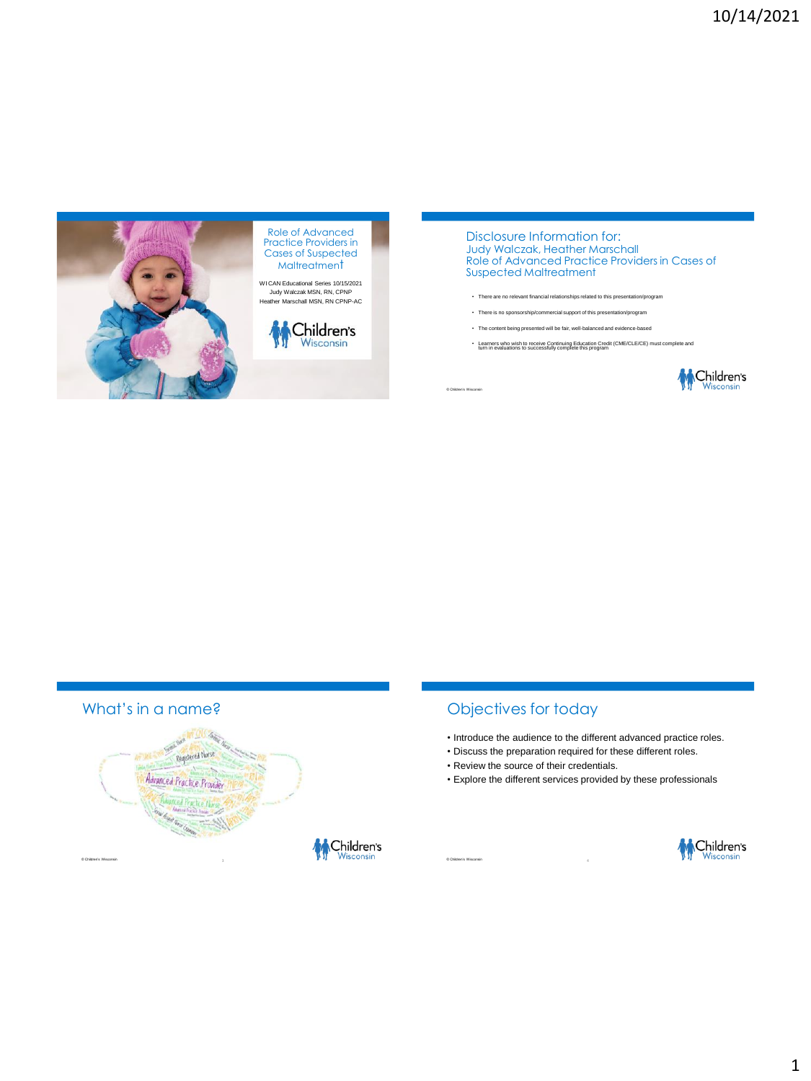

Role of Advanced Practice Providers in Cases of Suspected **Maltreatment** 

WI CAN Educational Series 10/15/2021 Judy Walczak MSN, RN, CPNP Heather Marschall MSN, RN CPNP-AC



Disclosure Information for: Judy Walczak, Heather Marschall Role of Advanced Practice Providers in Cases of Suspected Maltreatment

- There are no relevant financial relationships related to this presentation/program
- There is no sponsorship/commercial support of this presentation/program
- The content being presented will be fair, well-balanced and evidence-based
- Learners who wish to receive Continuing Education Credit (CME/CLE/CE) must complete and turn in evaluations to successfully complete this program



# What's in a name?



# Objectives for today

- Introduce the audience to the different advanced practice roles.
- Discuss the preparation required for these different roles.
- Review the source of their credentials.
- Explore the different services provided by these professionals



© Children's Wisconsin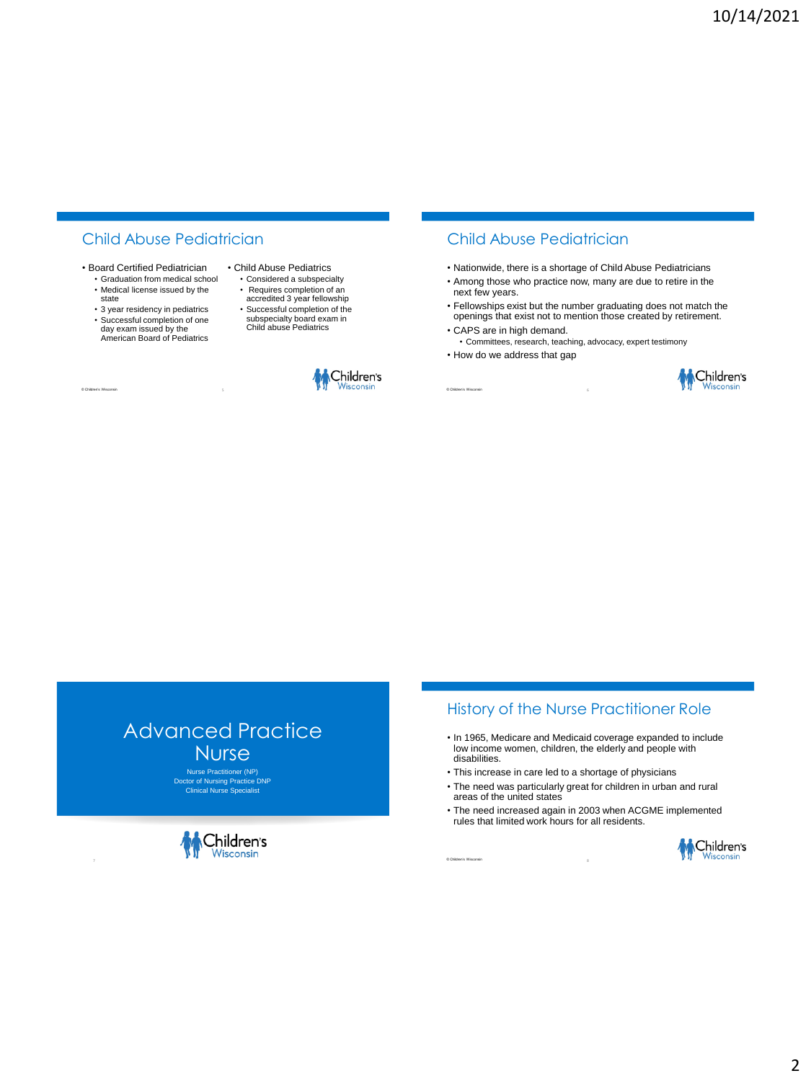# Child Abuse Pediatrician

- Board Certified Pediatrician
	- Graduation from medical school • Medical license issued by the state
	- 3 year residency in pediatrics • Successful completion of one day exam issued by the American Board of Pediatrics

© Children's Wisconsin

• Child Abuse Pediatrics

- Considered a subspecialty • Requires completion of an
- accredited 3 year fellowship
- Successful completion of the subspecialty board exam in Child abuse Pediatrics



## Child Abuse Pediatrician

- Nationwide, there is a shortage of Child Abuse Pediatricians
- Among those who practice now, many are due to retire in the next few years.
- Fellowships exist but the number graduating does not match the openings that exist not to mention those created by retirement.

6

- CAPS are in high demand.
- Committees, research, teaching, advocacy, expert testimony • How do we address that gap





# Advanced Practice **Nurse**

Nurse Practitioner (NP) Doctor of Nursing Practice DNP Clinical Nurse Specialist



# History of the Nurse Practitioner Role

- In 1965, Medicare and Medicaid coverage expanded to include low income women, children, the elderly and people with disabilities.
- This increase in care led to a shortage of physicians
- The need was particularly great for children in urban and rural areas of the united states
- The need increased again in 2003 when ACGME implemented rules that limited work hours for all residents.

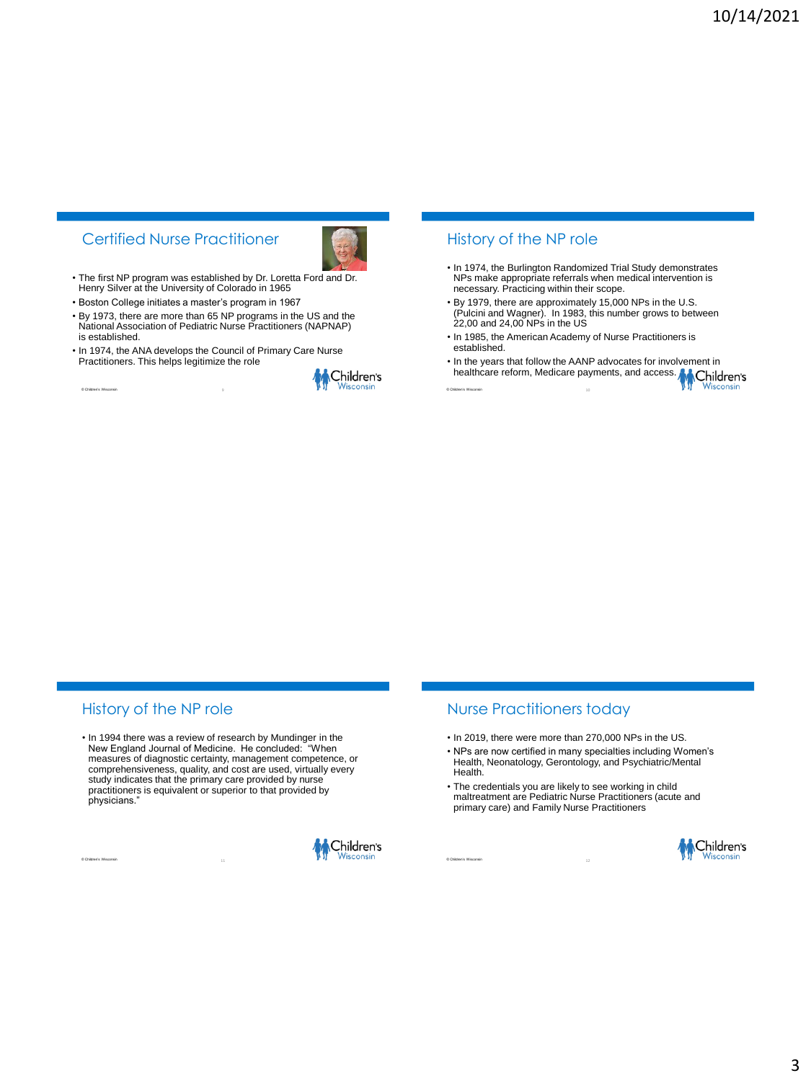# Certified Nurse Practitioner



• The first NP program was established by Dr. Loretta Ford and Dr. Henry Silver at the University of Colorado in 1965

• Boston College initiates a master's program in 1967

© Children's Wisconsin

- By 1973, there are more than 65 NP programs in the US and the National Association of Pediatric Nurse Practitioners (NAPNAP) is established.
- In 1974, the ANA develops the Council of Primary Care Nurse Practitioners. This helps legitimize the role



#### History of the NP role

- In 1974, the Burlington Randomized Trial Study demonstrates NPs make appropriate referrals when medical intervention is necessary. Practicing within their scope.
- By 1979, there are approximately 15,000 NPs in the U.S. (Pulcini and Wagner). In 1983, this number grows to between 22,00 and 24,00 NPs in the US
- In 1985, the American Academy of Nurse Practitioners is established.
- In the years that follow the AANP advocates for involvement in In the years that follow the construction of the season of Children's

# History of the NP role

© Children's Wisconsin

• In 1994 there was a review of research by Mundinger in the New England Journal of Medicine. He concluded: "When measures of diagnostic certainty, management competence, or comprehensiveness, quality, and cost are used, virtually every study indicates that the primary care provided by nurse practitioners is equivalent or superior to that provided by physicians."



#### Nurse Practitioners today

- In 2019, there were more than 270,000 NPs in the US.
- NPs are now certified in many specialties including Women's Health, Neonatology, Gerontology, and Psychiatric/Mental Health.
- The credentials you are likely to see working in child maltreatment are Pediatric Nurse Practitioners (acute and primary care) and Family Nurse Practitioners

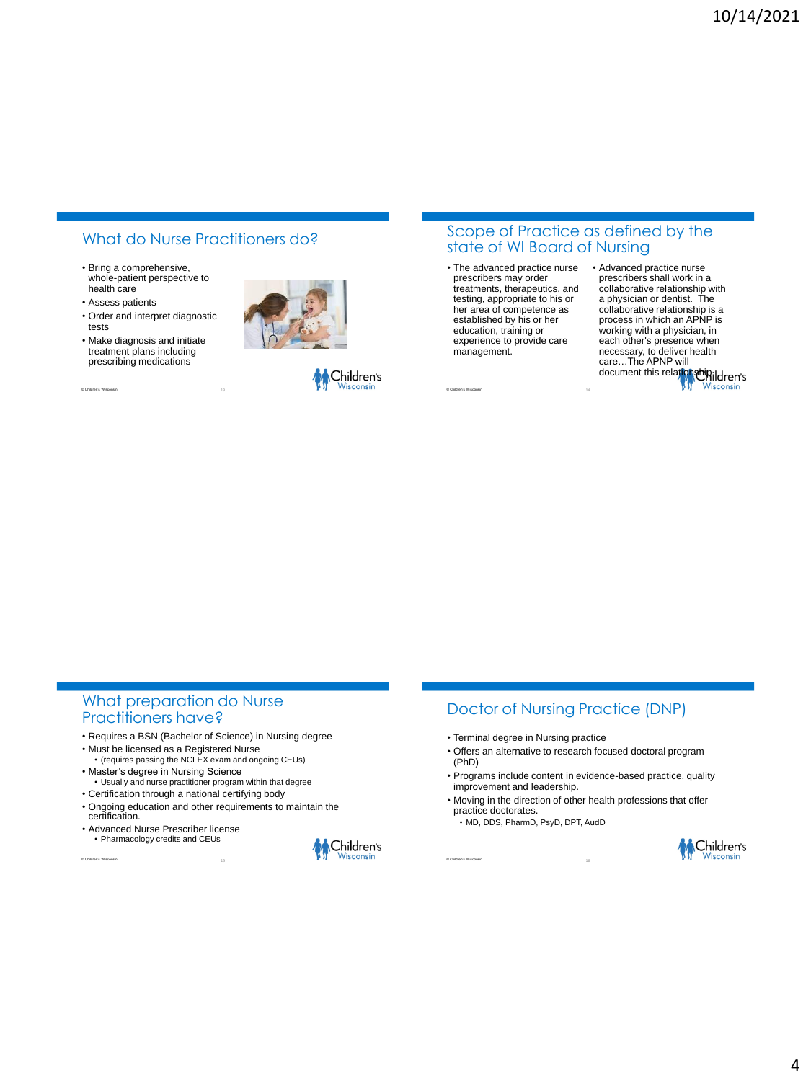# What do Nurse Practitioners do?

- Bring a comprehensive, whole-patient perspective to health care
- Assess patients

© Children's Wisconsin

- Order and interpret diagnostic tests
- Make diagnosis and initiate treatment plans including prescribing medications





#### Scope of Practice as defined by the state of WI Board of Nursing

• The advanced practice nurse prescribers may order treatments, therapeutics, and testing, appropriate to his or her area of competence as established by his or her education, training or experience to provide care management.

• Advanced practice nurse prescribers shall work in a collaborative relationship with a physician or dentist. The collaborative relationship is a process in which an APNP is working with a physician, in each other's presence when necessary, to deliver health care…The APNP will document this relationship.ildren's

#### What preparation do Nurse Practitioners have?

- Requires a BSN (Bachelor of Science) in Nursing degree
- Must be licensed as a Registered Nurse (requires passing the NCLEX exam and ongoing CEUs)
- Master's degree in Nursing Science • Usually and nurse practitioner program within that degree
- Certification through a national certifying body
- Ongoing education and other requirements to maintain the certification.
- Advanced Nurse Prescriber license • Pharmacology credits and CEUs

© Children's Wisconsin



# Doctor of Nursing Practice (DNP)

- Terminal degree in Nursing practice
- Offers an alternative to research focused doctoral program (PhD)
- Programs include content in evidence-based practice, quality improvement and leadership.
- Moving in the direction of other health professions that offer practice doctorates.
	- MD, DDS, PharmD, PsyD, DPT, AudD

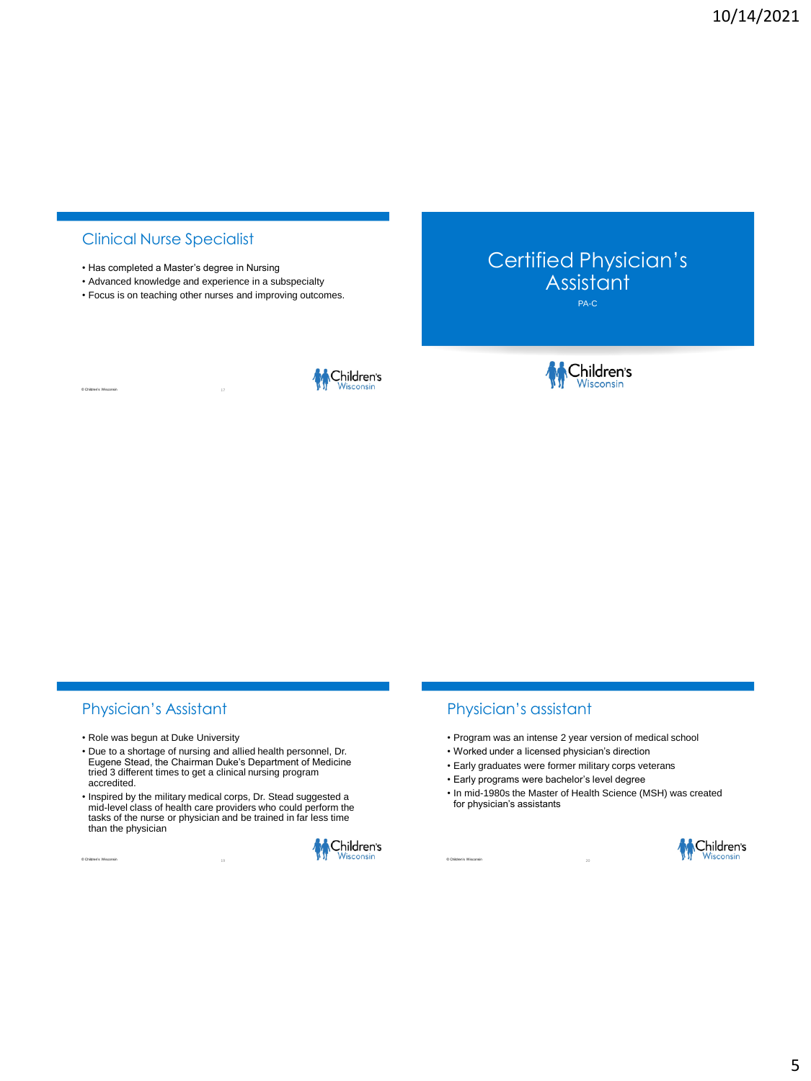# Clinical Nurse Specialist

© Children's Wisconsin

- Has completed a Master's degree in Nursing
- Advanced knowledge and experience in a subspecialty
- Focus is on teaching other nurses and improving outcomes.



Certified Physician's **Assistant** PA-C



## Physician's Assistant

- Role was begun at Duke University
- Due to a shortage of nursing and allied health personnel, Dr. Eugene Stead, the Chairman Duke's Department of Medicine tried 3 different times to get a clinical nursing program accredited.
- Inspired by the military medical corps, Dr. Stead suggested a mid-level class of health care providers who could perform the tasks of the nurse or physician and be trained in far less time than the physician





## Physician's assistant

- Program was an intense 2 year version of medical school
- Worked under a licensed physician's direction
- Early graduates were former military corps veterans
- Early programs were bachelor's level degree
- In mid-1980s the Master of Health Science (MSH) was created for physician's assistants

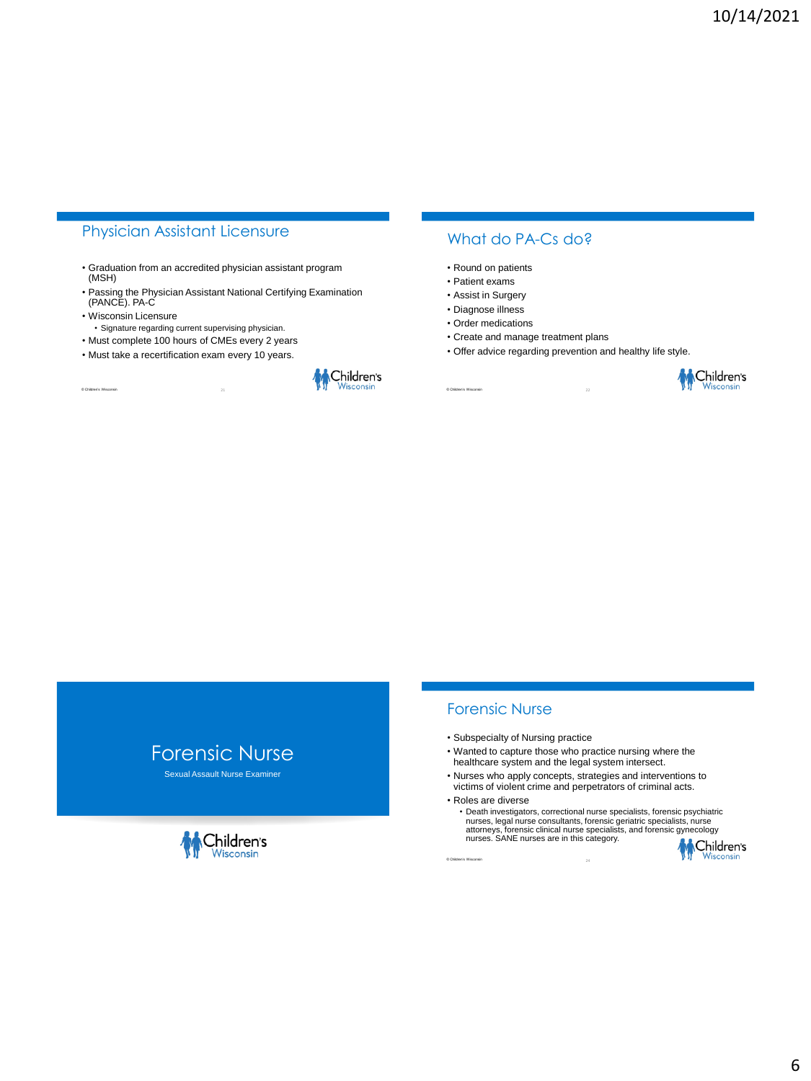# Physician Assistant Licensure

- Graduation from an accredited physician assistant program (MSH)
- Passing the Physician Assistant National Certifying Examination (PANCE). PA-C
- Wisconsin Licensure

© Children's Wisconsin

- Signature regarding current supervising physician.
- Must complete 100 hours of CMEs every 2 years
- Must take a recertification exam every 10 years.



#### What do PA-Cs do?

- Round on patients
- Patient exams
- Assist in Surgery
- Diagnose illness
- Order medications
- Create and manage treatment plans
- Offer advice regarding prevention and healthy life style.



# Forensic Nurse

Sexual Assault Nurse Examiner



#### Forensic Nurse

- Subspecialty of Nursing practice
- Wanted to capture those who practice nursing where the healthcare system and the legal system intersect.
- Nurses who apply concepts, strategies and interventions to victims of violent crime and perpetrators of criminal acts.
- Roles are diverse

© Children's Wisconsin

• Death investigators, correctional nurse specialists, forensic psychiatric nurses, legal nurse consultants, forensic geriatric specialists, nurse attorneys, forensic clinical nurse specialists, and forensic gynecology nurses. SANE nurses are in this category.

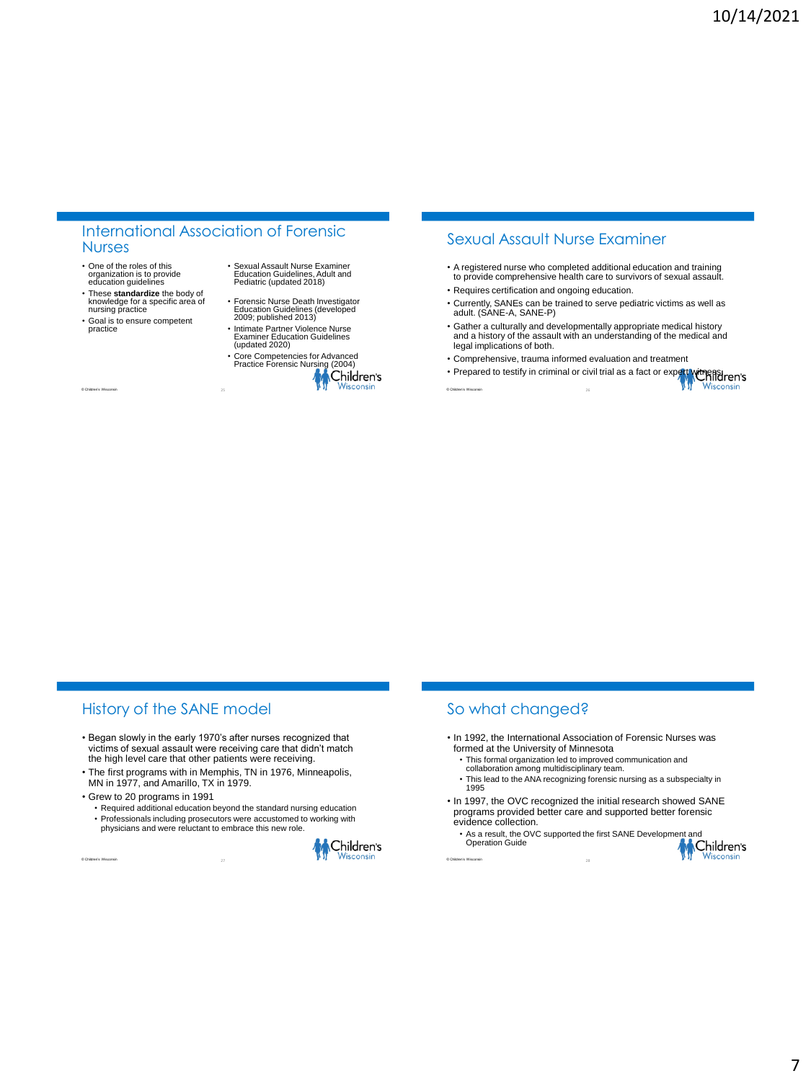#### International Association of Forensic Nurses

- One of the roles of this organization is to provide education guidelines
- These **standardize** the body of knowledge for a specific area of nursing practice
- Goal is to ensure competent practice

© Children's Wisconsin

- Sexual Assault Nurse Examiner Education Guidelines, Adult and Pediatric (updated 2018)
- Forensic Nurse Death Investigator Education Guidelines (developed 2009; published 2013)
- Intimate Partner Violence Nurse Examiner Education Guidelines (updated 2020)



25 Children's Wisconsin Constitution of the Children's Wisconsin Constitution of the Children's Wisconsin

# Sexual Assault Nurse Examiner

- A registered nurse who completed additional education and training to provide comprehensive health care to survivors of sexual assault.
- Requires certification and ongoing education.
- Currently, SANEs can be trained to serve pediatric victims as well as adult. (SANE-A, SANE-P)
- Gather a culturally and developmentally appropriate medical history and a history of the assault with an understanding of the medical and legal implications of both.
- Comprehensive, trauma informed evaluation and treatment
- Comprendictive, when criminal or civil trial as a fact or expert with Principal ren's Wisconsir

# History of the SANE model

- Began slowly in the early 1970's after nurses recognized that victims of sexual assault were receiving care that didn't match the high level care that other patients were receiving.
- The first programs with in Memphis, TN in 1976, Minneapolis, MN in 1977, and Amarillo, TX in 1979.
- Grew to 20 programs in 1991
	- Required additional education beyond the standard nursing education • Professionals including prosecutors were accustomed to working with physicians and were reluctant to embrace this new role.
		-

© Children's Wisconsin



# So what changed?

- In 1992, the International Association of Forensic Nurses was formed at the University of Minnesota
	- This formal organization led to improved communication and collaboration among multidisciplinary team.
	-
	- This lead to the ANA recognizing forensic nursing as a subspecialty in 1995
- In 1997, the OVC recognized the initial research showed SANE programs provided better care and supported better forensic evidence collection.
- As a result, the OVC supported the first SANE Development and<br>Operation Guide<br>And Children's Operation Guide

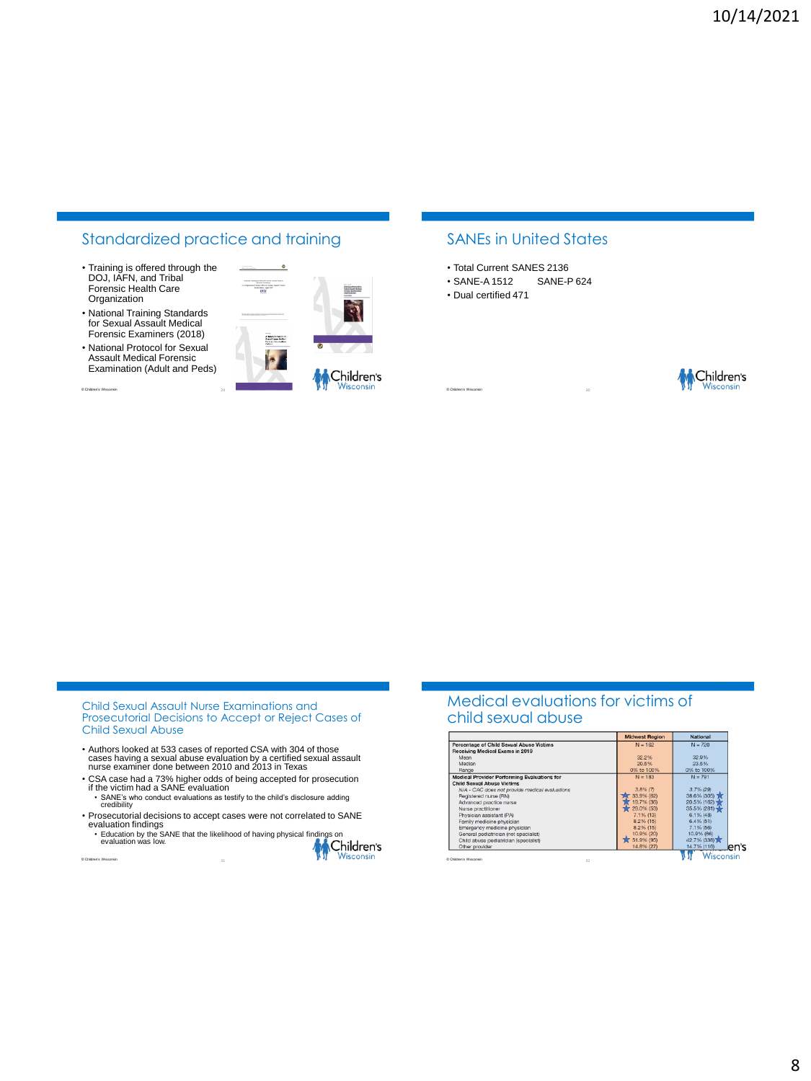# Standardized practice and training

- Training is offered through the DOJ, IAFN, and Tribal Forensic Health Care **Organization**
- National Training Standards for Sexual Assault Medical Forensic Examiners (2018)
- National Protocol for Sexual Assault Medical Forensic Examination (Adult and Peds)

© Children's Wisconsin



 $\bullet$ 

## SANEs in United States

- Total Current SANES 2136
- SANE-A 1512 SANE-P 624
- Dual certified 471



Child Sexual Assault Nurse Examinations and Prosecutorial Decisions to Accept or Reject Cases of Child Sexual Abuse

- Authors looked at 533 cases of reported CSA with 304 of those cases having a sexual abuse evaluation by a certified sexual assault nurse examiner done between 2010 and 2013 in Texas
- CSA case had a 73% higher odds of being accepted for prosecution if the victim had a SANE evaluation SANE's who conduct evaluations as testify to the child's disclosure adding credibility
- Prosecutorial decisions to accept cases were not correlated to SANE
- evaluation findings<br>• Education by the SANE that the likelihood of having physical findings on<br>• evaluation was low.
- © Children's Wisconsin **M** Children's

#### Medical evaluations for victims of child sexual abuse

|                                                    | <b>Midwest Region</b> | <b>National</b> |
|----------------------------------------------------|-----------------------|-----------------|
| <b>Percentage of Child Sexual Abuse Victims</b>    | $N = 162$             | $N = 720$       |
| Receiving Medical Exams in 2019                    |                       |                 |
| Mean                                               | 32.2%                 | 32.9%           |
| Median                                             | 20.5%                 | 23.5%           |
| Range                                              | 0% to 100%            | 0% to 100%      |
| <b>Medical Provider Performing Evaluations for</b> | $N = 183$             | $N = 791$       |
| <b>Child Sexual Abuse Victims</b>                  |                       |                 |
| N/A - CAC does not provide medical evaluations     | $3.8\%$ (7)           | $3.7\%$ (29)    |
| Registered nurse (RN)                              | 33.9% (62)            | 38.6% (305)     |
| Advanced practice nurse                            | 19.7% (36)            | $20.5\%$ (162)  |
| Nurse practitioner                                 | 29.0% (53)            | 35.5% (281)     |
| Physician assistant (PA)                           | 7.1% (13)             | $6.1\%$ (48)    |
| Family medicine physician                          | 8.2% (15)             | 6.4% (51)       |
| Emergency medicine physician                       | 8.2% (15)             | 7.1% (56)       |
| General pediatrician (not specialist)              | 10.9% (20)            | 10.9% (86)      |
| Child abuse pediatrician (specialist)              | 37 51.9% (95)         | 42.7% (338)     |
| Other provider                                     | 14.8% (27)            | 14.7% (116)     |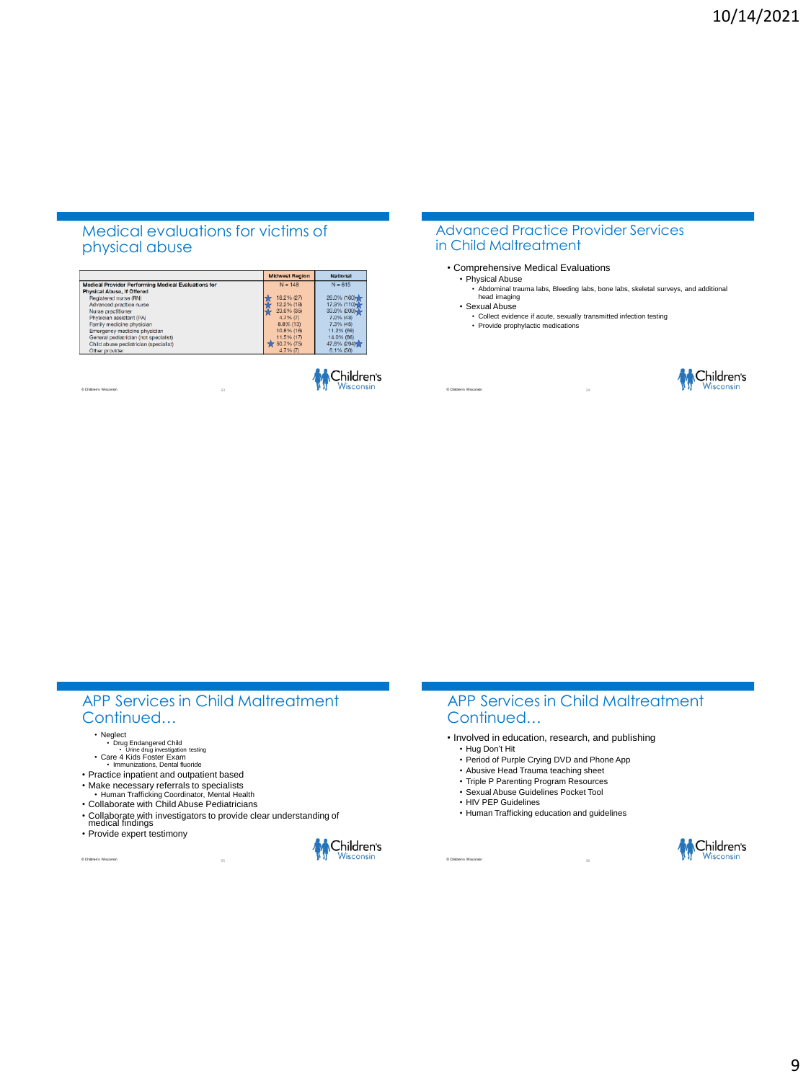### Medical evaluations for victims of physical abuse

|                                                            | <b>Midwest Region</b> | <b>National</b> |
|------------------------------------------------------------|-----------------------|-----------------|
| <b>Medical Provider Performing Medical Evaluations for</b> | $N = 148$             | $N = 615$       |
| Physical Abuse, If Offered                                 |                       |                 |
| Registered nurse (RN)                                      | 18.2% (27)            | 26.0% (160)     |
| Advanced practice nurse                                    | 12.2% (18)            | 17.9% (110)     |
| Nurse practitioner                                         | 23.6% (35)            | $33.8\%$ (208)  |
| Physician assistant (PA)                                   | $4.7%$ (7)            | 7.0% (43)       |
| Family medicine physician                                  | $8.8%$ (13)           | 7.3% (45)       |
| Emergency medicine physician                               | 10.8% (16)            | 11.2% (69)      |
| General pediatrician (not specialist)                      | 11.5% (17)            | 14.0% (86)      |
| Child abuse pediatrician (specialist)                      | $-50.7%(75)$          | 47.8% (294)     |
| Other provider                                             | $4.7\%$ (7)           | 8.1% (50)       |



#### Advanced Practice Provider Services in Child Maltreatment

- Comprehensive Medical Evaluations
	- Physical Abuse • Abdominal trauma labs, Bleeding labs, bone labs, skeletal surveys, and additional head imaging
	- Sexual Abuse
		- Collect evidence if acute, sexually transmitted infection testing Provide prophylactic medications
		-



# APP Services in Child Maltreatment Continued…

© Children's Wisconsin

© Children's Wisconsin

- 
- Neglect Drug Endangered Child Urine drug investigation testing Care 4 Kids Foster Exam Immunizations, Dental fluoride
- 
- Practice inpatient and outpatient based
- Make necessary referrals to specialists
- Human Trafficking Coordinator, Mental Health Collaborate with Child Abuse Pediatricians
- 
- Collaborate with investigators to provide clear understanding of medical findings
- Provide expert testimony



#### APP Services in Child Maltreatment Continued…

- Involved in education, research, and publishing
	- Hug Don't Hit
	- Period of Purple Crying DVD and Phone App
	- Abusive Head Trauma teaching sheet
	- Triple P Parenting Program Resources • Sexual Abuse Guidelines Pocket Tool
	- HIV PEP Guidelines
	- Human Trafficking education and guidelines

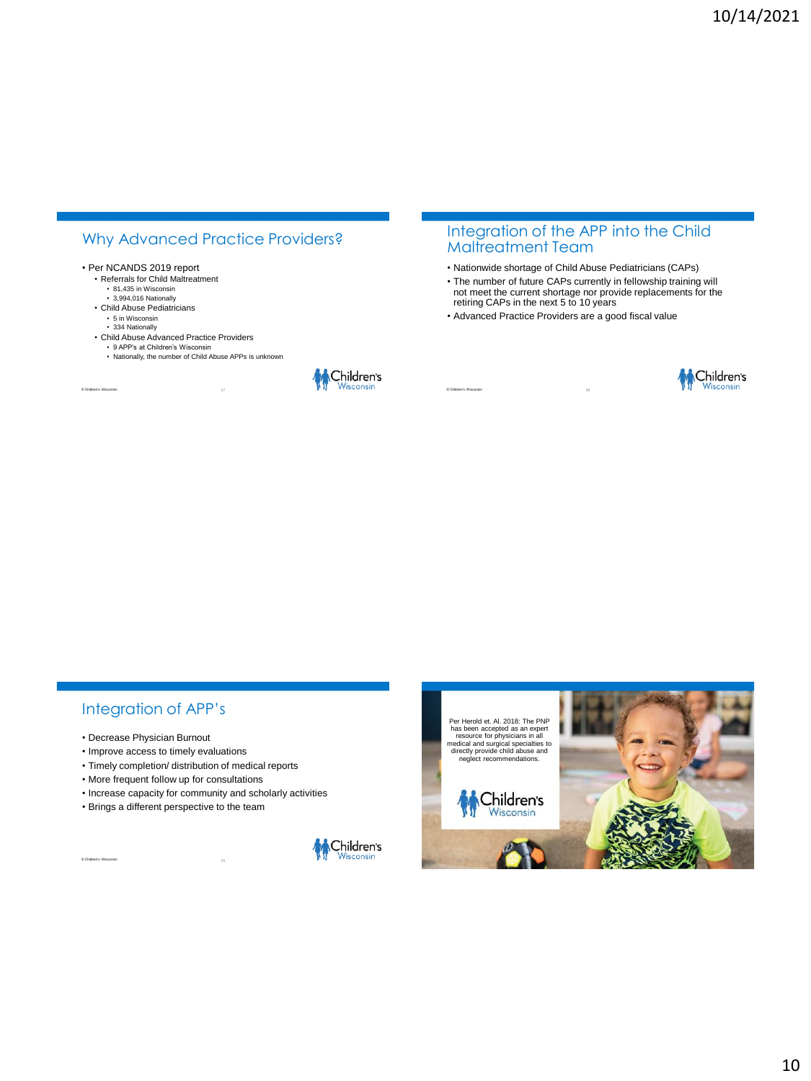# Why Advanced Practice Providers?

#### • Per NCANDS 2019 report

- Referrals for Child Maltreatment • 81,435 in Wisconsin
	- 3,994,016 Nationally
- Child Abuse Pediatricians
	- 5 in Wisconsin
- 334 Nationally

© Children's Wisconsin

- Child Abuse Advanced Practice Providers
	- 9 APP's at Children's Wisconsin • Nationally, the number of Child Abuse APPs is unknown



## Integration of the APP into the Child Maltreatment Team

- Nationwide shortage of Child Abuse Pediatricians (CAPs)
- The number of future CAPs currently in fellowship training will
- not meet the current shortage nor provide replacements for the retiring CAPs in the next 5 to 10 years
- Advanced Practice Providers are a good fiscal value



## Integration of APP's

• Decrease Physician Burnout

© Children's Wisconsin

- Improve access to timely evaluations
- Timely completion/ distribution of medical reports
- More frequent follow up for consultations
- Increase capacity for community and scholarly activities
- Brings a different perspective to the team



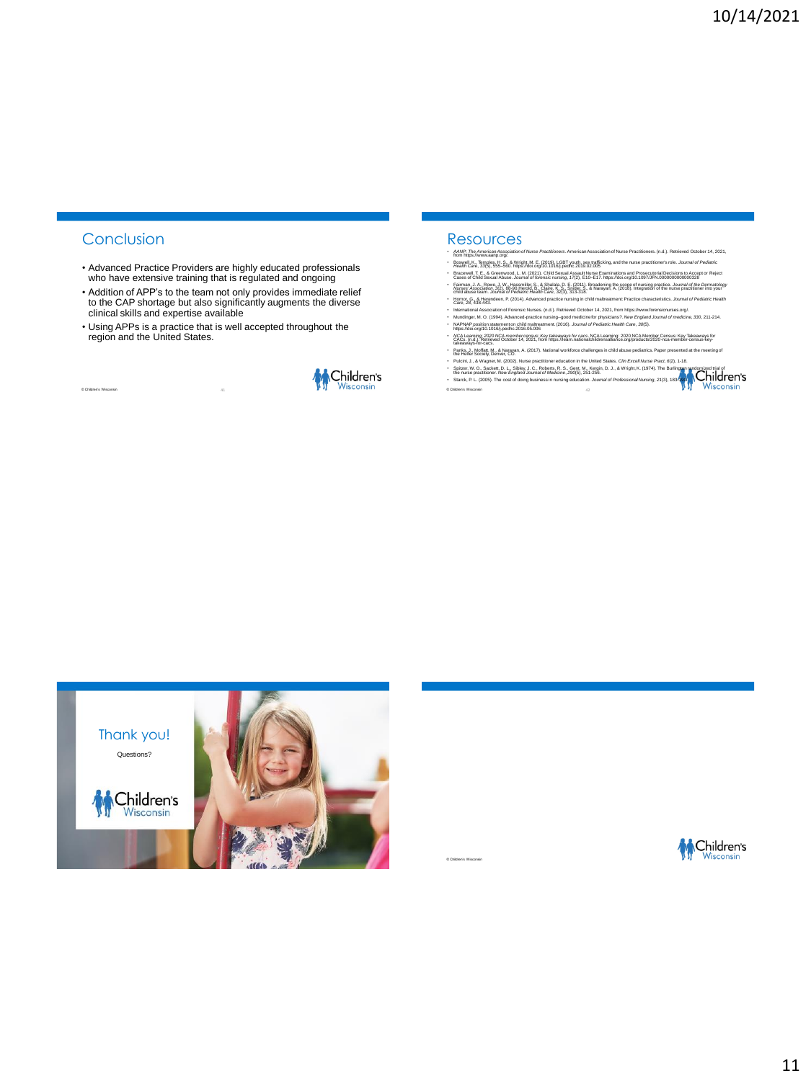# Conclusion

© Children's Wisconsin

- Advanced Practice Providers are highly educated professionals who have extensive training that is regulated and ongoing
- Addition of APP's to the team not only provides immediate relief to the CAP shortage but also significantly augments the diverse clinical skills and expertise available
- Using APPs is a practice that is well accepted throughout the region and the United States.



# Resources

© Children's Wisconsin

- 
- 
- ് ക്ലിക്സ്പ്ലീറ്റ് ക്യിയന്റുമുടിയുമായിലാണ് Mura Practice numerical Association of Mura Practicenes, (n.d.). Retireed October 14, 2021,<br>- Packin Car (1935) 20:5 ക് 20:40: Microsoft Discovery Profit Profit Profit Profit Pr
- 
- International Association of Porenisc Nurses, (n.d.). Retrieved October 14, 2021, from https://www.tloensicnurses.org/.<br>- MurAtinger, M. O. (1994). Advanced-practice nursing-good medicine for physicians?. New England Jou
- MCA Learning: 2020 NCA member census: Key takeaways for cacs. NCA Learning: 2020 NCA Member Census: Key Takeaways for<br>- CACs. (n.d.). Retrieved October 14, 2021, from https://leam.nationalchildrensalliance.org/products/202
- takeaways-for-cacs.<br>Panks, J., Moffatt, M., & Naraya<br>the Helfer Society, Denver, CO.
- 
- Fighth<sub>ock</sub> before the A. A. Box 1992 and A. Corp. National workstree that legaches and a special the meeting of<br>- Public J. A. Wagnet M. (2002). Natio practitioner education is the United States. Clin Excell fluxe Pract,